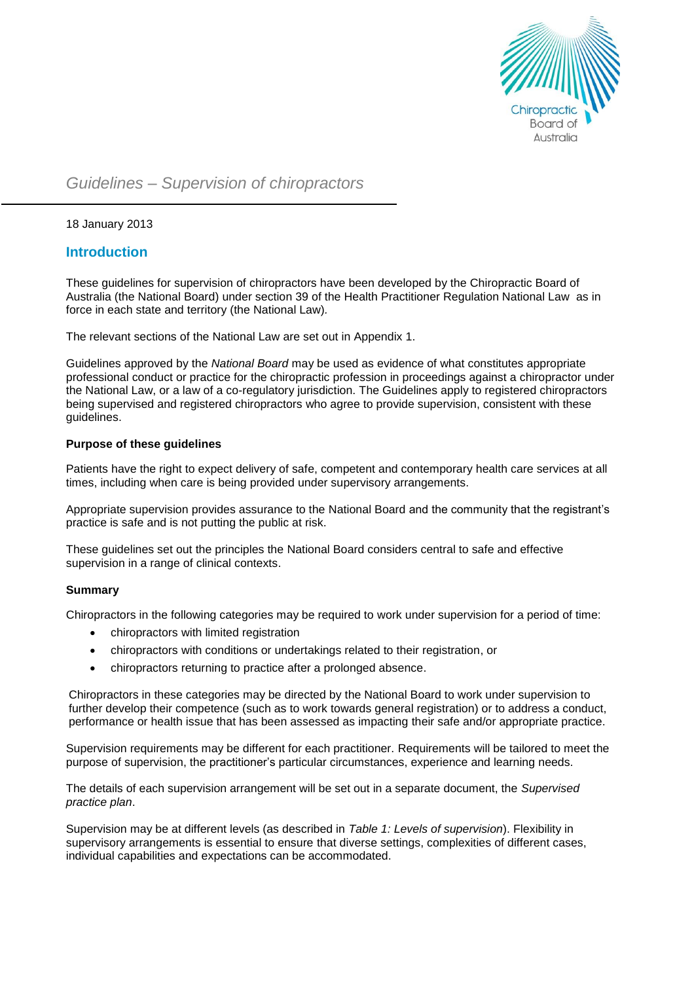

# *Guidelines – Supervision of chiropractors*

18 January 2013

## **Introduction**

These guidelines for supervision of chiropractors have been developed by the Chiropractic Board of Australia (the National Board) under section 39 of the Health Practitioner Regulation National Law as in force in each state and territory (the National Law)*.*

The relevant sections of the National Law are set out in Appendix 1.

Guidelines approved by the *National Board* may be used as evidence of what constitutes appropriate professional conduct or practice for the chiropractic profession in proceedings against a chiropractor under the National Law, or a law of a co-regulatory jurisdiction. The Guidelines apply to registered chiropractors being supervised and registered chiropractors who agree to provide supervision, consistent with these guidelines.

## **Purpose of these guidelines**

Patients have the right to expect delivery of safe, competent and contemporary health care services at all times, including when care is being provided under supervisory arrangements.

Appropriate supervision provides assurance to the National Board and the community that the registrant's practice is safe and is not putting the public at risk.

These guidelines set out the principles the National Board considers central to safe and effective supervision in a range of clinical contexts.

## **Summary**

Chiropractors in the following categories may be required to work under supervision for a period of time:

- chiropractors with limited registration
- chiropractors with conditions or undertakings related to their registration, or
- chiropractors returning to practice after a prolonged absence.

Chiropractors in these categories may be directed by the National Board to work under supervision to further develop their competence (such as to work towards general registration) or to address a conduct, performance or health issue that has been assessed as impacting their safe and/or appropriate practice.

Supervision requirements may be different for each practitioner. Requirements will be tailored to meet the purpose of supervision, the practitioner's particular circumstances, experience and learning needs.

The details of each supervision arrangement will be set out in a separate document, the *Supervised practice plan*.

Supervision may be at different levels (as described in *Table 1: Levels of supervision*). Flexibility in supervisory arrangements is essential to ensure that diverse settings, complexities of different cases, individual capabilities and expectations can be accommodated.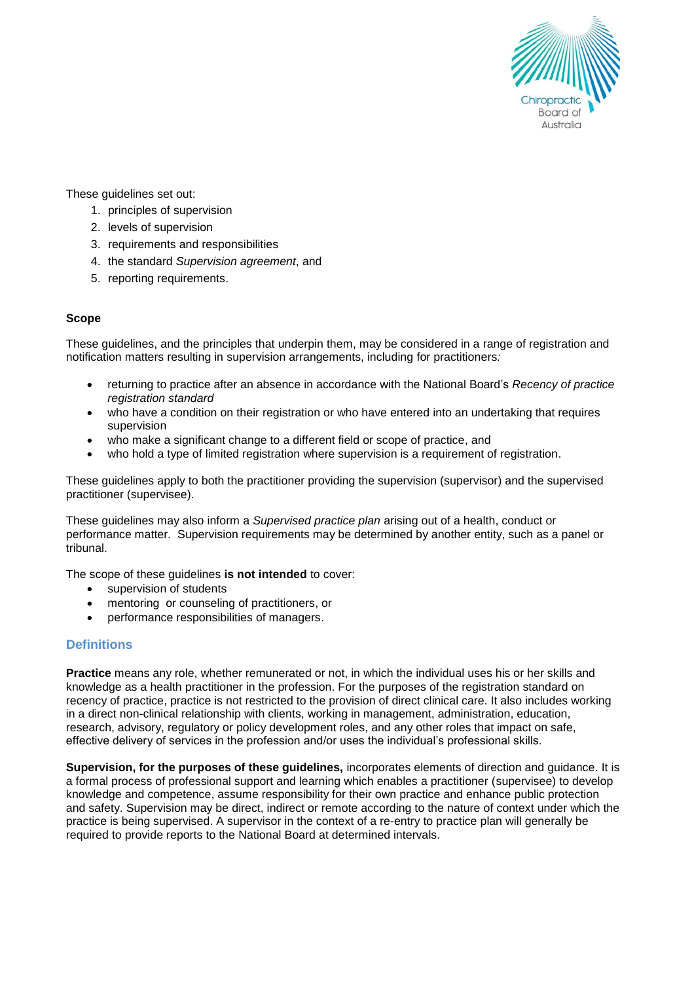

These guidelines set out:

- 1. principles of supervision
- 2. levels of supervision
- 3. requirements and responsibilities
- 4. the standard *Supervision agreement*, and
- 5. reporting requirements.

## **Scope**

These guidelines, and the principles that underpin them, may be considered in a range of registration and notification matters resulting in supervision arrangements, including for practitioners*:*

- returning to practice after an absence in accordance with the National Board's *Recency of practice registration standard*
- who have a condition on their registration or who have entered into an undertaking that requires supervision
- who make a significant change to a different field or scope of practice, and
- who hold a type of limited registration where supervision is a requirement of registration.

These guidelines apply to both the practitioner providing the supervision (supervisor) and the supervised practitioner (supervisee).

These guidelines may also inform a *Supervised practice plan* arising out of a health, conduct or performance matter. Supervision requirements may be determined by another entity, such as a panel or tribunal.

The scope of these guidelines **is not intended** to cover:

- supervision of students
- mentoring or counseling of practitioners, or
- performance responsibilities of managers.

## **Definitions**

**Practice** means any role, whether remunerated or not, in which the individual uses his or her skills and knowledge as a health practitioner in the profession. For the purposes of the registration standard on recency of practice, practice is not restricted to the provision of direct clinical care. It also includes working in a direct non-clinical relationship with clients, working in management, administration, education, research, advisory, regulatory or policy development roles, and any other roles that impact on safe, effective delivery of services in the profession and/or uses the individual's professional skills.

**Supervision, for the purposes of these guidelines,** incorporates elements of direction and guidance. It is a formal process of professional support and learning which enables a practitioner (supervisee) to develop knowledge and competence, assume responsibility for their own practice and enhance public protection and safety. Supervision may be direct, indirect or remote according to the nature of context under which the practice is being supervised. A supervisor in the context of a re-entry to practice plan will generally be required to provide reports to the National Board at determined intervals.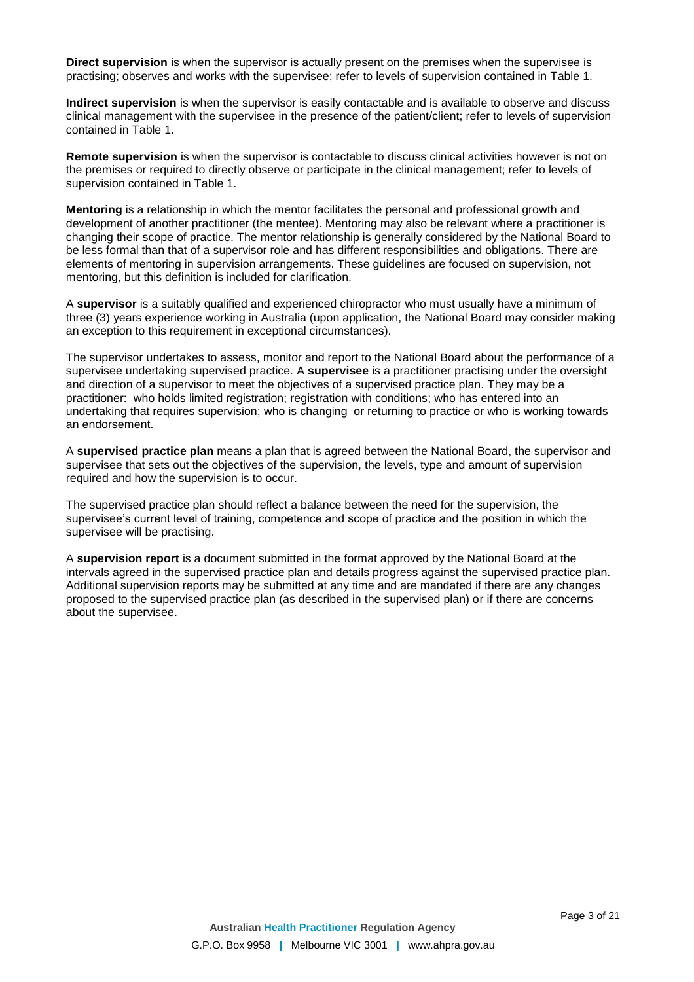**Direct supervision** is when the supervisor is actually present on the premises when the supervisee is practising; observes and works with the supervisee; refer to levels of supervision contained in Table 1.

**Indirect supervision** is when the supervisor is easily contactable and is available to observe and discuss clinical management with the supervisee in the presence of the patient/client; refer to levels of supervision contained in Table 1.

**Remote supervision** is when the supervisor is contactable to discuss clinical activities however is not on the premises or required to directly observe or participate in the clinical management; refer to levels of supervision contained in Table 1.

**Mentoring** is a relationship in which the mentor facilitates the personal and professional growth and development of another practitioner (the mentee). Mentoring may also be relevant where a practitioner is changing their scope of practice. The mentor relationship is generally considered by the National Board to be less formal than that of a supervisor role and has different responsibilities and obligations. There are elements of mentoring in supervision arrangements. These guidelines are focused on supervision, not mentoring, but this definition is included for clarification.

A **supervisor** is a suitably qualified and experienced chiropractor who must usually have a minimum of three (3) years experience working in Australia (upon application, the National Board may consider making an exception to this requirement in exceptional circumstances).

The supervisor undertakes to assess, monitor and report to the National Board about the performance of a supervisee undertaking supervised practice. A **supervisee** is a practitioner practising under the oversight and direction of a supervisor to meet the objectives of a supervised practice plan. They may be a practitioner: who holds limited registration; registration with conditions; who has entered into an undertaking that requires supervision; who is changing or returning to practice or who is working towards an endorsement.

A **supervised practice plan** means a plan that is agreed between the National Board, the supervisor and supervisee that sets out the objectives of the supervision, the levels, type and amount of supervision required and how the supervision is to occur.

The supervised practice plan should reflect a balance between the need for the supervision, the supervisee's current level of training, competence and scope of practice and the position in which the supervisee will be practising.

A **supervision report** is a document submitted in the format approved by the National Board at the intervals agreed in the supervised practice plan and details progress against the supervised practice plan. Additional supervision reports may be submitted at any time and are mandated if there are any changes proposed to the supervised practice plan (as described in the supervised plan) or if there are concerns about the supervisee.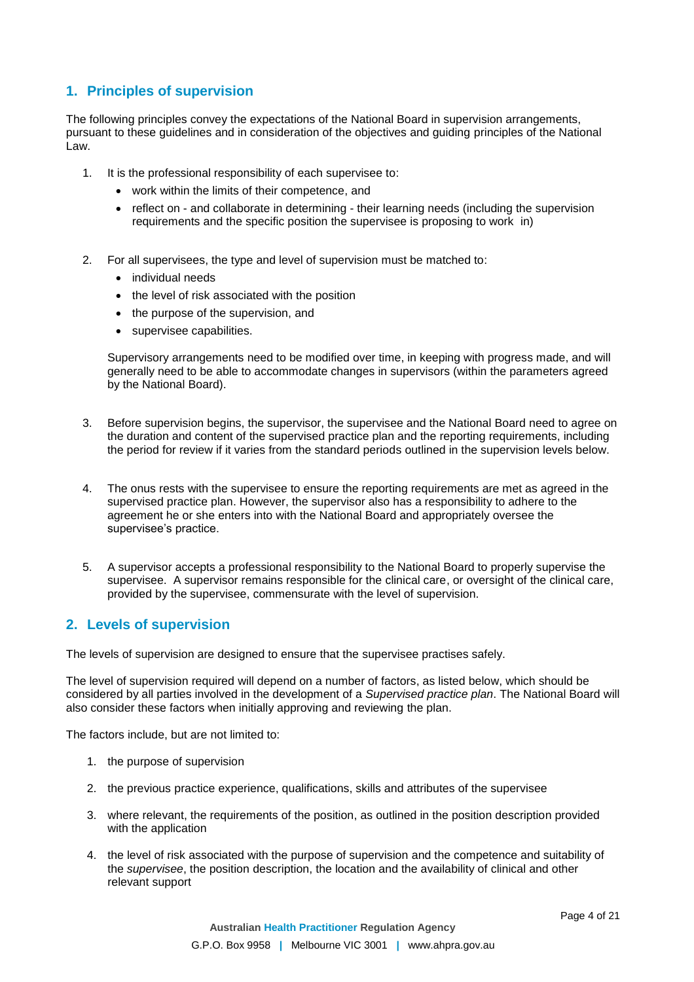## **1. Principles of supervision**

The following principles convey the expectations of the National Board in supervision arrangements, pursuant to these guidelines and in consideration of the objectives and guiding principles of the National Law.

- 1. It is the professional responsibility of each supervisee to:
	- work within the limits of their competence, and
	- reflect on and collaborate in determining their learning needs (including the supervision requirements and the specific position the supervisee is proposing to work in)
- 2. For all supervisees, the type and level of supervision must be matched to:
	- individual needs
	- the level of risk associated with the position
	- the purpose of the supervision, and
	- supervisee capabilities.

Supervisory arrangements need to be modified over time, in keeping with progress made, and will generally need to be able to accommodate changes in supervisors (within the parameters agreed by the National Board).

- 3. Before supervision begins, the supervisor, the supervisee and the National Board need to agree on the duration and content of the supervised practice plan and the reporting requirements, including the period for review if it varies from the standard periods outlined in the supervision levels below.
- 4. The onus rests with the supervisee to ensure the reporting requirements are met as agreed in the supervised practice plan. However, the supervisor also has a responsibility to adhere to the agreement he or she enters into with the National Board and appropriately oversee the supervisee's practice.
- 5. A supervisor accepts a professional responsibility to the National Board to properly supervise the supervisee. A supervisor remains responsible for the clinical care, or oversight of the clinical care, provided by the supervisee, commensurate with the level of supervision.

## **2. Levels of supervision**

The levels of supervision are designed to ensure that the supervisee practises safely.

The level of supervision required will depend on a number of factors, as listed below, which should be considered by all parties involved in the development of a *Supervised practice plan*. The National Board will also consider these factors when initially approving and reviewing the plan.

The factors include, but are not limited to:

- 1. the purpose of supervision
- 2. the previous practice experience, qualifications, skills and attributes of the supervisee
- 3. where relevant, the requirements of the position, as outlined in the position description provided with the application
- 4. the level of risk associated with the purpose of supervision and the competence and suitability of the *supervisee*, the position description, the location and the availability of clinical and other relevant support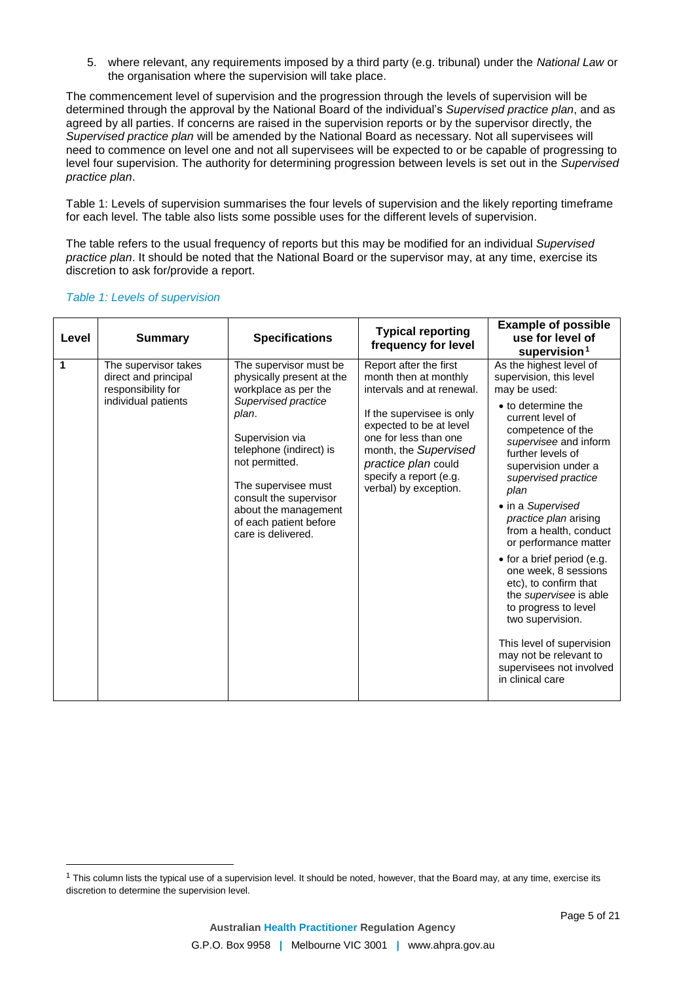5. where relevant, any requirements imposed by a third party (e.g. tribunal) under the *National Law* or the organisation where the supervision will take place.

The commencement level of supervision and the progression through the levels of supervision will be determined through the approval by the National Board of the individual's *Supervised practice plan*, and as agreed by all parties. If concerns are raised in the supervision reports or by the supervisor directly, the *Supervised practice plan* will be amended by the National Board as necessary. Not all supervisees will need to commence on level one and not all supervisees will be expected to or be capable of progressing to level four supervision. The authority for determining progression between levels is set out in the *Supervised practice plan*.

Table 1: Levels of supervision summarises the four levels of supervision and the likely reporting timeframe for each level. The table also lists some possible uses for the different levels of supervision.

The table refers to the usual frequency of reports but this may be modified for an individual *Supervised practice plan*. It should be noted that the National Board or the supervisor may, at any time, exercise its discretion to ask for/provide a report.

| Level | <b>Summary</b>                                                                            | <b>Specifications</b>                                                                                                                                                                                                                                                                                | <b>Typical reporting</b><br>frequency for level                                                                                                                                                                                                                  | <b>Example of possible</b><br>use for level of<br>supervision $1$                                                                                                                                                                                                                                                                                                                                                                                                                                                                                                                                         |
|-------|-------------------------------------------------------------------------------------------|------------------------------------------------------------------------------------------------------------------------------------------------------------------------------------------------------------------------------------------------------------------------------------------------------|------------------------------------------------------------------------------------------------------------------------------------------------------------------------------------------------------------------------------------------------------------------|-----------------------------------------------------------------------------------------------------------------------------------------------------------------------------------------------------------------------------------------------------------------------------------------------------------------------------------------------------------------------------------------------------------------------------------------------------------------------------------------------------------------------------------------------------------------------------------------------------------|
| 1     | The supervisor takes<br>direct and principal<br>responsibility for<br>individual patients | The supervisor must be<br>physically present at the<br>workplace as per the<br>Supervised practice<br>plan.<br>Supervision via<br>telephone (indirect) is<br>not permitted.<br>The supervisee must<br>consult the supervisor<br>about the management<br>of each patient before<br>care is delivered. | Report after the first<br>month then at monthly<br>intervals and at renewal.<br>If the supervisee is only<br>expected to be at level<br>one for less than one<br>month, the Supervised<br>practice plan could<br>specify a report (e.g.<br>verbal) by exception. | As the highest level of<br>supervision, this level<br>may be used:<br>• to determine the<br>current level of<br>competence of the<br>supervisee and inform<br>further levels of<br>supervision under a<br>supervised practice<br>plan<br>• in a Supervised<br>practice plan arising<br>from a health, conduct<br>or performance matter<br>• for a brief period (e.g.<br>one week, 8 sessions<br>etc), to confirm that<br>the <i>supervisee</i> is able<br>to progress to level<br>two supervision.<br>This level of supervision<br>may not be relevant to<br>supervisees not involved<br>in clinical care |

## *Table 1: Levels of supervision*

 $\overline{a}$ 

 $1$  This column lists the typical use of a supervision level. It should be noted, however, that the Board may, at any time, exercise its discretion to determine the supervision level.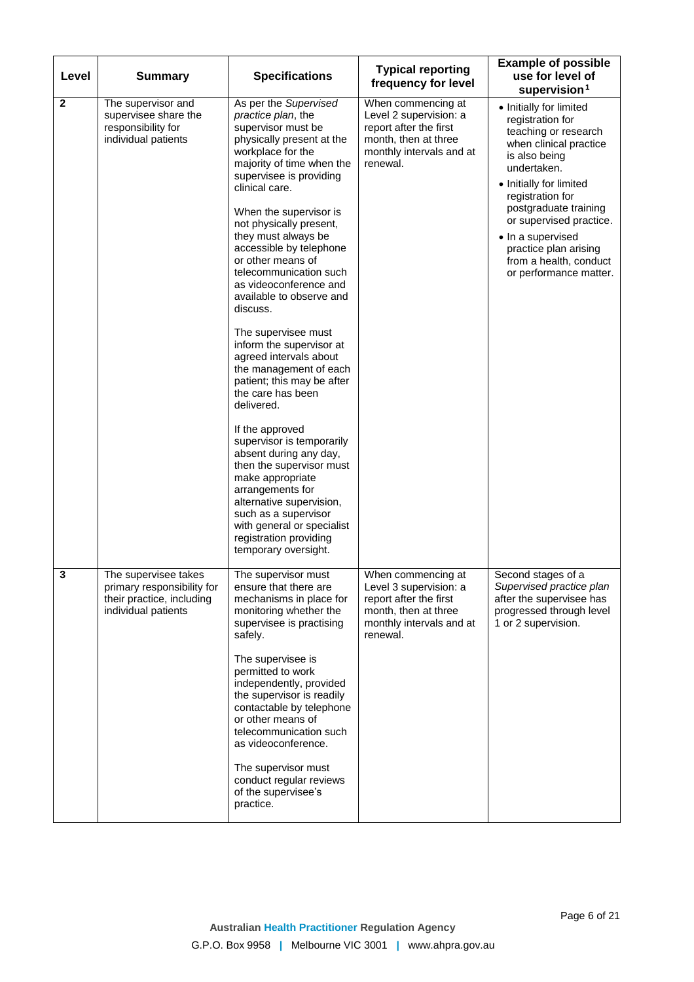| Level        | <b>Summary</b>                                                                                         | <b>Specifications</b>                                                                                                                                                                                                                                                                                                                                                                                                                                                                                                                                                                                                                                                                                                                                                                                                                                                           | <b>Typical reporting</b><br>frequency for level                                                                                        | <b>Example of possible</b><br>use for level of<br>supervision $1$                                                                                                                                                                                                                                                                  |
|--------------|--------------------------------------------------------------------------------------------------------|---------------------------------------------------------------------------------------------------------------------------------------------------------------------------------------------------------------------------------------------------------------------------------------------------------------------------------------------------------------------------------------------------------------------------------------------------------------------------------------------------------------------------------------------------------------------------------------------------------------------------------------------------------------------------------------------------------------------------------------------------------------------------------------------------------------------------------------------------------------------------------|----------------------------------------------------------------------------------------------------------------------------------------|------------------------------------------------------------------------------------------------------------------------------------------------------------------------------------------------------------------------------------------------------------------------------------------------------------------------------------|
| $\mathbf{2}$ | The supervisor and<br>supervisee share the<br>responsibility for<br>individual patients                | As per the Supervised<br>practice plan, the<br>supervisor must be<br>physically present at the<br>workplace for the<br>majority of time when the<br>supervisee is providing<br>clinical care.<br>When the supervisor is<br>not physically present,<br>they must always be<br>accessible by telephone<br>or other means of<br>telecommunication such<br>as videoconference and<br>available to observe and<br>discuss.<br>The supervisee must<br>inform the supervisor at<br>agreed intervals about<br>the management of each<br>patient; this may be after<br>the care has been<br>delivered.<br>If the approved<br>supervisor is temporarily<br>absent during any day,<br>then the supervisor must<br>make appropriate<br>arrangements for<br>alternative supervision,<br>such as a supervisor<br>with general or specialist<br>registration providing<br>temporary oversight. | When commencing at<br>Level 2 supervision: a<br>report after the first<br>month, then at three<br>monthly intervals and at<br>renewal. | • Initially for limited<br>registration for<br>teaching or research<br>when clinical practice<br>is also being<br>undertaken.<br>• Initially for limited<br>registration for<br>postgraduate training<br>or supervised practice.<br>• In a supervised<br>practice plan arising<br>from a health, conduct<br>or performance matter. |
| 3            | The supervisee takes<br>primary responsibility for<br>their practice, including<br>individual patients | The supervisor must<br>ensure that there are<br>mechanisms in place for<br>monitoring whether the<br>supervisee is practising<br>safely.<br>The supervisee is<br>permitted to work<br>independently, provided<br>the supervisor is readily<br>contactable by telephone<br>or other means of<br>telecommunication such<br>as videoconference.<br>The supervisor must<br>conduct regular reviews<br>of the supervisee's<br>practice.                                                                                                                                                                                                                                                                                                                                                                                                                                              | When commencing at<br>Level 3 supervision: a<br>report after the first<br>month, then at three<br>monthly intervals and at<br>renewal. | Second stages of a<br>Supervised practice plan<br>after the supervisee has<br>progressed through level<br>1 or 2 supervision.                                                                                                                                                                                                      |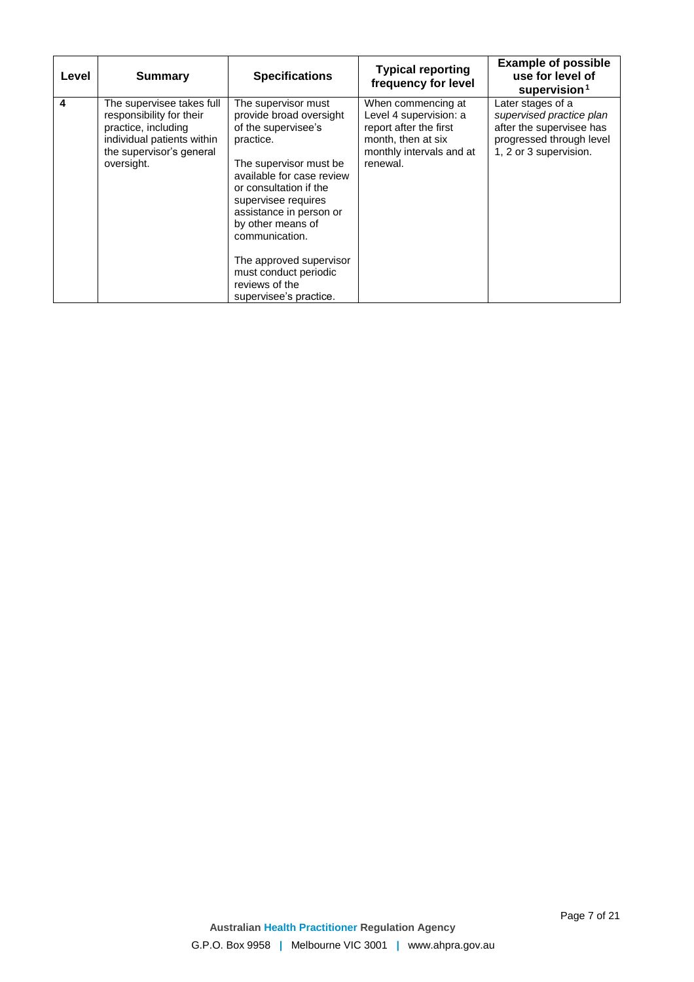| Level | <b>Summary</b>                                                                                                                                       | <b>Specifications</b>                                                                                                                                                                                                                                                                                                                                        | <b>Typical reporting</b><br>frequency for level                                                                                      | <b>Example of possible</b><br>use for level of<br>supervision <sup>1</sup>                                                      |
|-------|------------------------------------------------------------------------------------------------------------------------------------------------------|--------------------------------------------------------------------------------------------------------------------------------------------------------------------------------------------------------------------------------------------------------------------------------------------------------------------------------------------------------------|--------------------------------------------------------------------------------------------------------------------------------------|---------------------------------------------------------------------------------------------------------------------------------|
| 4     | The supervisee takes full<br>responsibility for their<br>practice, including<br>individual patients within<br>the supervisor's general<br>oversight. | The supervisor must<br>provide broad oversight<br>of the supervisee's<br>practice.<br>The supervisor must be<br>available for case review<br>or consultation if the<br>supervisee requires<br>assistance in person or<br>by other means of<br>communication.<br>The approved supervisor<br>must conduct periodic<br>reviews of the<br>supervisee's practice. | When commencing at<br>Level 4 supervision: a<br>report after the first<br>month, then at six<br>monthly intervals and at<br>renewal. | Later stages of a<br>supervised practice plan<br>after the supervisee has<br>progressed through level<br>1, 2 or 3 supervision. |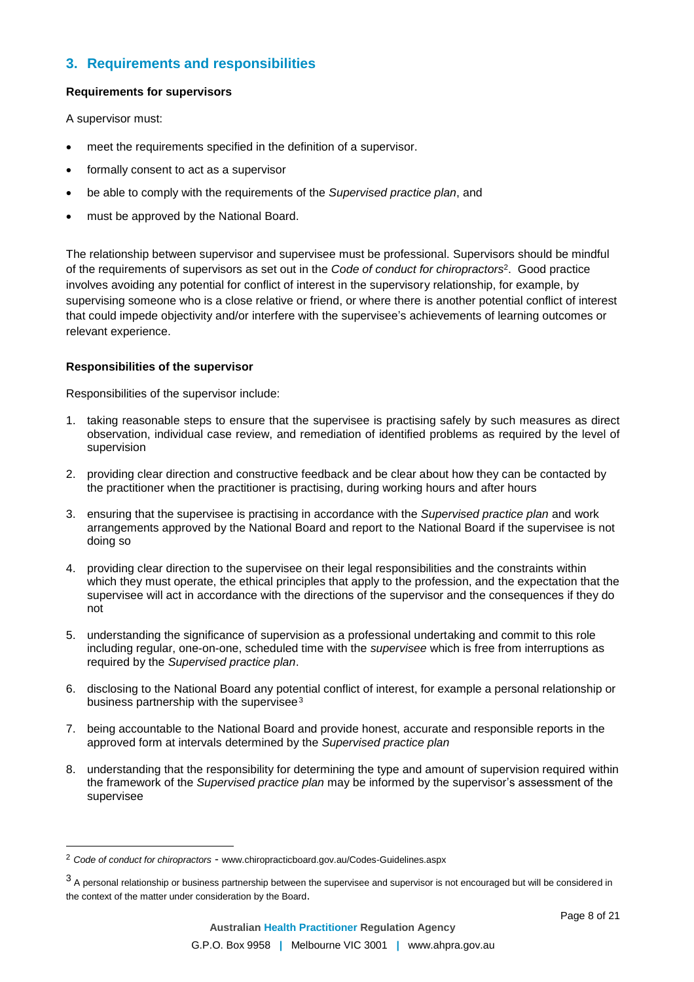## **3. Requirements and responsibilities**

## **Requirements for supervisors**

A supervisor must:

- meet the requirements specified in the definition of a supervisor.
- formally consent to act as a supervisor
- be able to comply with the requirements of the *Supervised practice plan*, and
- must be approved by the National Board.

The relationship between supervisor and supervisee must be professional. Supervisors should be mindful of the requirements of supervisors as set out in the *Code of conduct for chiropractors*<sup>2</sup> . Good practice involves avoiding any potential for conflict of interest in the supervisory relationship, for example, by supervising someone who is a close relative or friend, or where there is another potential conflict of interest that could impede objectivity and/or interfere with the supervisee's achievements of learning outcomes or relevant experience.

## **Responsibilities of the supervisor**

 $\overline{a}$ 

Responsibilities of the supervisor include:

- 1. taking reasonable steps to ensure that the supervisee is practising safely by such measures as direct observation, individual case review, and remediation of identified problems as required by the level of supervision
- 2. providing clear direction and constructive feedback and be clear about how they can be contacted by the practitioner when the practitioner is practising, during working hours and after hours
- 3. ensuring that the supervisee is practising in accordance with the *Supervised practice plan* and work arrangements approved by the National Board and report to the National Board if the supervisee is not doing so
- 4. providing clear direction to the supervisee on their legal responsibilities and the constraints within which they must operate, the ethical principles that apply to the profession, and the expectation that the supervisee will act in accordance with the directions of the supervisor and the consequences if they do not
- 5. understanding the significance of supervision as a professional undertaking and commit to this role including regular, one-on-one, scheduled time with the *supervisee* which is free from interruptions as required by the *Supervised practice plan*.
- 6. disclosing to the National Board any potential conflict of interest, for example a personal relationship or business partnership with the supervisee<sup>3</sup>
- 7. being accountable to the National Board and provide honest, accurate and responsible reports in the approved form at intervals determined by the *Supervised practice plan*
- 8. understanding that the responsibility for determining the type and amount of supervision required within the framework of the *Supervised practice plan* may be informed by the supervisor's assessment of the supervisee

<sup>2</sup> *Code of conduct for chiropractors* - www.chiropracticboard.gov.au/Codes-Guidelines.aspx

<sup>&</sup>lt;sup>3</sup> A personal relationship or business partnership between the supervisee and supervisor is not encouraged but will be considered in the context of the matter under consideration by the Board.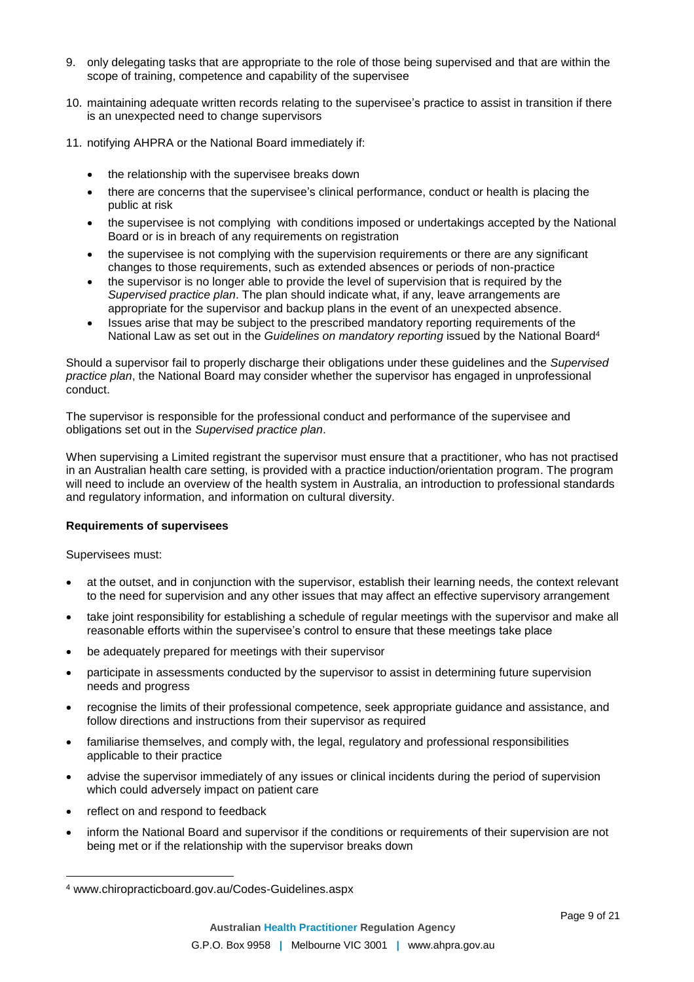- 9. only delegating tasks that are appropriate to the role of those being supervised and that are within the scope of training, competence and capability of the supervisee
- 10. maintaining adequate written records relating to the supervisee's practice to assist in transition if there is an unexpected need to change supervisors
- 11. notifying AHPRA or the National Board immediately if:
	- the relationship with the supervisee breaks down
	- there are concerns that the supervisee's clinical performance, conduct or health is placing the public at risk
	- the supervisee is not complying with conditions imposed or undertakings accepted by the National Board or is in breach of any requirements on registration
	- the supervisee is not complying with the supervision requirements or there are any significant changes to those requirements, such as extended absences or periods of non-practice
	- the supervisor is no longer able to provide the level of supervision that is required by the *Supervised practice plan*. The plan should indicate what, if any, leave arrangements are appropriate for the supervisor and backup plans in the event of an unexpected absence.
	- Issues arise that may be subject to the prescribed mandatory reporting requirements of the National Law as set out in the *Guidelines on mandatory reporting* issued by the National Board<sup>4</sup>

Should a supervisor fail to properly discharge their obligations under these guidelines and the *Supervised practice plan*, the National Board may consider whether the supervisor has engaged in unprofessional conduct.

The supervisor is responsible for the professional conduct and performance of the supervisee and obligations set out in the *Supervised practice plan*.

When supervising a Limited registrant the supervisor must ensure that a practitioner, who has not practised in an Australian health care setting, is provided with a practice induction/orientation program. The program will need to include an overview of the health system in Australia, an introduction to professional standards and regulatory information, and information on cultural diversity.

## **Requirements of supervisees**

Supervisees must:

 $\overline{a}$ 

- at the outset, and in conjunction with the supervisor, establish their learning needs, the context relevant to the need for supervision and any other issues that may affect an effective supervisory arrangement
- take joint responsibility for establishing a schedule of regular meetings with the supervisor and make all reasonable efforts within the supervisee's control to ensure that these meetings take place
- be adequately prepared for meetings with their supervisor
- participate in assessments conducted by the supervisor to assist in determining future supervision needs and progress
- recognise the limits of their professional competence, seek appropriate guidance and assistance, and follow directions and instructions from their supervisor as required
- familiarise themselves, and comply with, the legal, regulatory and professional responsibilities applicable to their practice
- advise the supervisor immediately of any issues or clinical incidents during the period of supervision which could adversely impact on patient care
- reflect on and respond to feedback
- inform the National Board and supervisor if the conditions or requirements of their supervision are not being met or if the relationship with the supervisor breaks down

<sup>4</sup> www.chiropracticboard.gov.au/Codes-Guidelines.aspx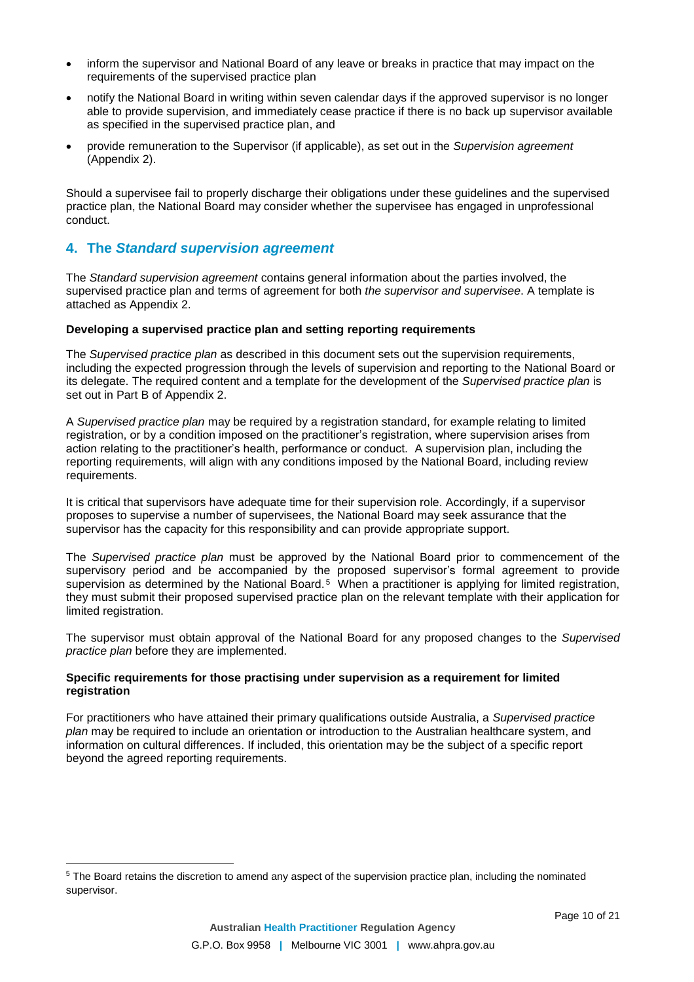- inform the supervisor and National Board of any leave or breaks in practice that may impact on the requirements of the supervised practice plan
- notify the National Board in writing within seven calendar days if the approved supervisor is no longer able to provide supervision, and immediately cease practice if there is no back up supervisor available as specified in the supervised practice plan, and
- provide remuneration to the Supervisor (if applicable), as set out in the *Supervision agreement* (Appendix 2).

Should a supervisee fail to properly discharge their obligations under these guidelines and the supervised practice plan, the National Board may consider whether the supervisee has engaged in unprofessional conduct.

## **4. The** *Standard supervision agreement*

 $\overline{a}$ 

The *Standard supervision agreement* contains general information about the parties involved, the supervised practice plan and terms of agreement for both *the supervisor and supervisee*. A template is attached as Appendix 2.

### **Developing a supervised practice plan and setting reporting requirements**

The *Supervised practice plan* as described in this document sets out the supervision requirements, including the expected progression through the levels of supervision and reporting to the National Board or its delegate. The required content and a template for the development of the *Supervised practice plan* is set out in Part B of Appendix 2.

A *Supervised practice plan* may be required by a registration standard, for example relating to limited registration, or by a condition imposed on the practitioner's registration, where supervision arises from action relating to the practitioner's health, performance or conduct. A supervision plan, including the reporting requirements, will align with any conditions imposed by the National Board, including review requirements.

It is critical that supervisors have adequate time for their supervision role. Accordingly, if a supervisor proposes to supervise a number of supervisees, the National Board may seek assurance that the supervisor has the capacity for this responsibility and can provide appropriate support.

The *Supervised practice plan* must be approved by the National Board prior to commencement of the supervisory period and be accompanied by the proposed supervisor's formal agreement to provide supervision as determined by the National Board.<sup>5</sup> When a practitioner is applying for limited registration, they must submit their proposed supervised practice plan on the relevant template with their application for limited registration.

The supervisor must obtain approval of the National Board for any proposed changes to the *Supervised practice plan* before they are implemented.

### **Specific requirements for those practising under supervision as a requirement for limited registration**

For practitioners who have attained their primary qualifications outside Australia, a *Supervised practice plan* may be required to include an orientation or introduction to the Australian healthcare system, and information on cultural differences. If included, this orientation may be the subject of a specific report beyond the agreed reporting requirements.

<sup>5</sup> The Board retains the discretion to amend any aspect of the supervision practice plan, including the nominated supervisor.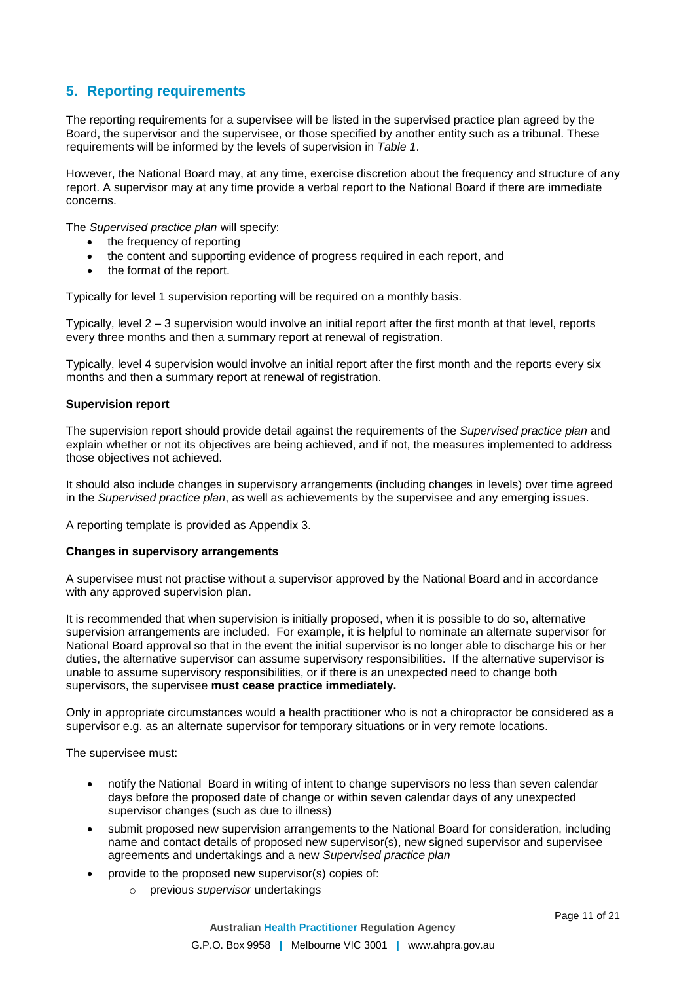## **5. Reporting requirements**

The reporting requirements for a supervisee will be listed in the supervised practice plan agreed by the Board, the supervisor and the supervisee, or those specified by another entity such as a tribunal. These requirements will be informed by the levels of supervision in *Table 1*.

However, the National Board may, at any time, exercise discretion about the frequency and structure of any report. A supervisor may at any time provide a verbal report to the National Board if there are immediate concerns.

The *Supervised practice plan* will specify:

- the frequency of reporting
- the content and supporting evidence of progress required in each report, and
- the format of the report.

Typically for level 1 supervision reporting will be required on a monthly basis.

Typically, level 2 – 3 supervision would involve an initial report after the first month at that level, reports every three months and then a summary report at renewal of registration.

Typically, level 4 supervision would involve an initial report after the first month and the reports every six months and then a summary report at renewal of registration.

### **Supervision report**

The supervision report should provide detail against the requirements of the *Supervised practice plan* and explain whether or not its objectives are being achieved, and if not, the measures implemented to address those objectives not achieved.

It should also include changes in supervisory arrangements (including changes in levels) over time agreed in the *Supervised practice plan*, as well as achievements by the supervisee and any emerging issues.

A reporting template is provided as Appendix 3.

### **Changes in supervisory arrangements**

A supervisee must not practise without a supervisor approved by the National Board and in accordance with any approved supervision plan.

It is recommended that when supervision is initially proposed, when it is possible to do so, alternative supervision arrangements are included. For example, it is helpful to nominate an alternate supervisor for National Board approval so that in the event the initial supervisor is no longer able to discharge his or her duties, the alternative supervisor can assume supervisory responsibilities. If the alternative supervisor is unable to assume supervisory responsibilities, or if there is an unexpected need to change both supervisors, the supervisee **must cease practice immediately.**

Only in appropriate circumstances would a health practitioner who is not a chiropractor be considered as a supervisor e.g. as an alternate supervisor for temporary situations or in very remote locations.

The supervisee must:

- notify the National Board in writing of intent to change supervisors no less than seven calendar days before the proposed date of change or within seven calendar days of any unexpected supervisor changes (such as due to illness)
- submit proposed new supervision arrangements to the National Board for consideration, including name and contact details of proposed new supervisor(s), new signed supervisor and supervisee agreements and undertakings and a new *Supervised practice plan*
- provide to the proposed new supervisor(s) copies of:
	- o previous *supervisor* undertakings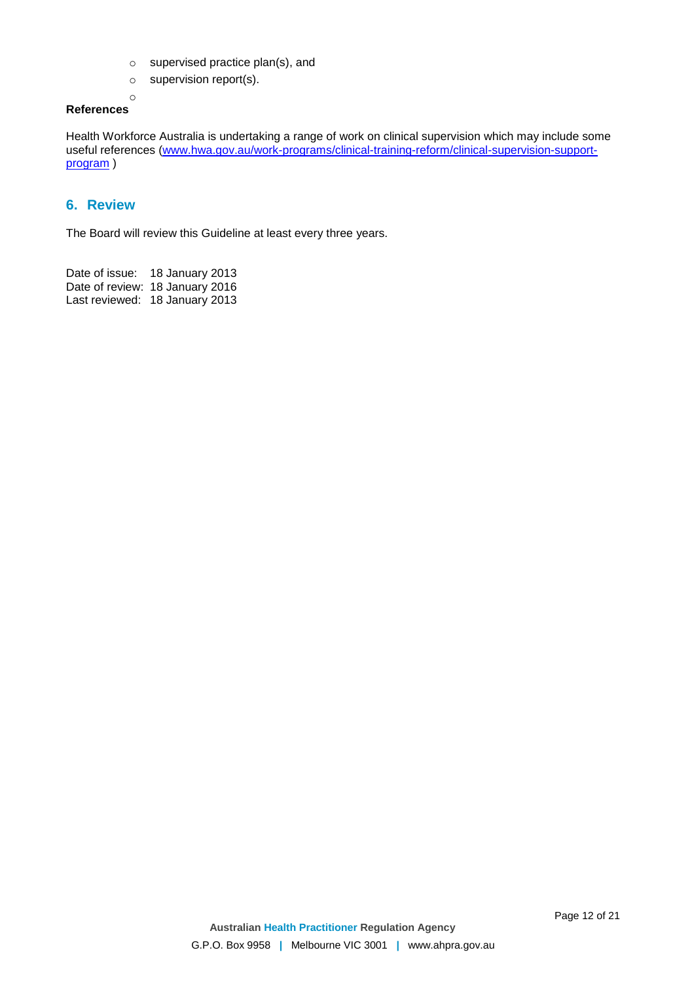- o supervised practice plan(s), and
- $\circ$  supervision report(s).

#### o **References**

Health Workforce Australia is undertaking a range of work on clinical supervision which may include some useful references ([www.hwa.gov.au/work-programs/clinical-training-reform/clinical-supervision-support](http://www.hwa.gov.au/work-programs/clinical-training-reform/clinical-supervision-support-program)[program](http://www.hwa.gov.au/work-programs/clinical-training-reform/clinical-supervision-support-program)<sub>)</sub>

## **6. Review**

The Board will review this Guideline at least every three years.

Date of issue: 18 January 2013 Date of review: 18 January 2016 Last reviewed: 18 January 2013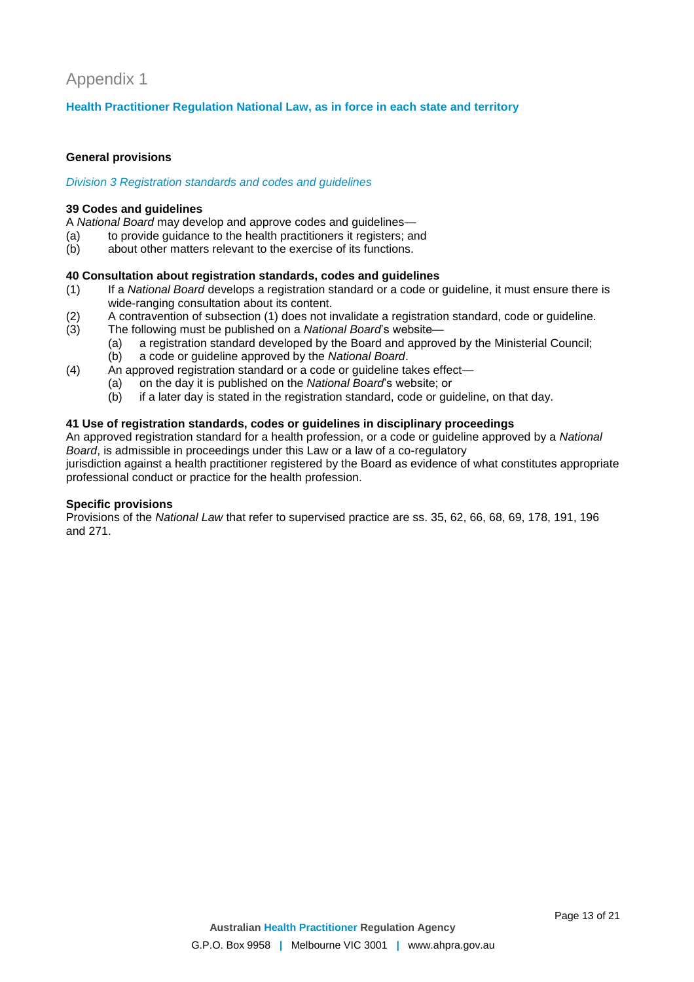# Appendix 1

## **Health Practitioner Regulation National Law, as in force in each state and territory**

### **General provisions**

### *Division 3 Registration standards and codes and guidelines*

### **39 Codes and guidelines**

A *National Board* may develop and approve codes and guidelines—

- (a) to provide guidance to the health practitioners it registers; and
- (b) about other matters relevant to the exercise of its functions.

## **40 Consultation about registration standards, codes and guidelines**

- (1) If a *National Board* develops a registration standard or a code or guideline, it must ensure there is wide-ranging consultation about its content.
- (2) A contravention of subsection (1) does not invalidate a registration standard, code or guideline.
- (3) The following must be published on a *National Board*'s website—
	- (a) a registration standard developed by the Board and approved by the Ministerial Council;
		- (b) a code or guideline approved by the *National Board*.
- (4) An approved registration standard or a code or guideline takes effect—
	- (a) on the day it is published on the *National Board*'s website; or
	- (b) if a later day is stated in the registration standard, code or guideline, on that day.

## **41 Use of registration standards, codes or guidelines in disciplinary proceedings**

An approved registration standard for a health profession, or a code or guideline approved by a *National Board*, is admissible in proceedings under this Law or a law of a co-regulatory jurisdiction against a health practitioner registered by the Board as evidence of what constitutes appropriate professional conduct or practice for the health profession.

### **Specific provisions**

Provisions of the *National Law* that refer to supervised practice are ss. 35, 62, 66, 68, 69, 178, 191, 196 and 271.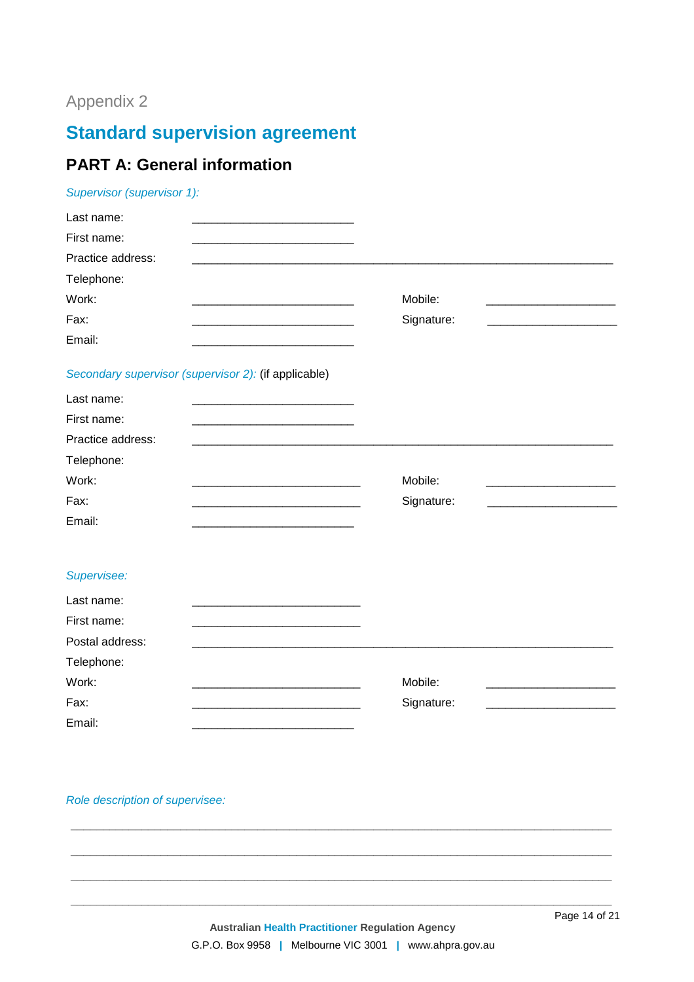# Appendix 2

# **Standard supervision agreement**

# **PART A: General information**

## Supervisor (supervisor 1):

| Last name:                                                         |            |  |
|--------------------------------------------------------------------|------------|--|
| First name:                                                        |            |  |
| Practice address:                                                  |            |  |
| Telephone:                                                         |            |  |
| Work:<br><u> 1980 - Johann Barbara, martxa alemaniar arg</u>       | Mobile:    |  |
| Fax:                                                               | Signature: |  |
| Email:                                                             |            |  |
| Secondary supervisor (supervisor 2): (if applicable)               |            |  |
| Last name:<br><u> 1980 - Johann Barn, fransk politik (d. 1980)</u> |            |  |
| First name:                                                        |            |  |
| Practice address:                                                  |            |  |
| Telephone:                                                         |            |  |
| Work:                                                              | Mobile:    |  |
| Fax:                                                               | Signature: |  |
| Email:                                                             |            |  |
|                                                                    |            |  |
| Supervisee:                                                        |            |  |
| Last name:                                                         |            |  |
| First name:                                                        |            |  |
| Postal address:                                                    |            |  |
| Telephone:                                                         |            |  |

Mobile:

Signature:

Work: Fax: Email:

Role description of supervisee:

Page 14 of 21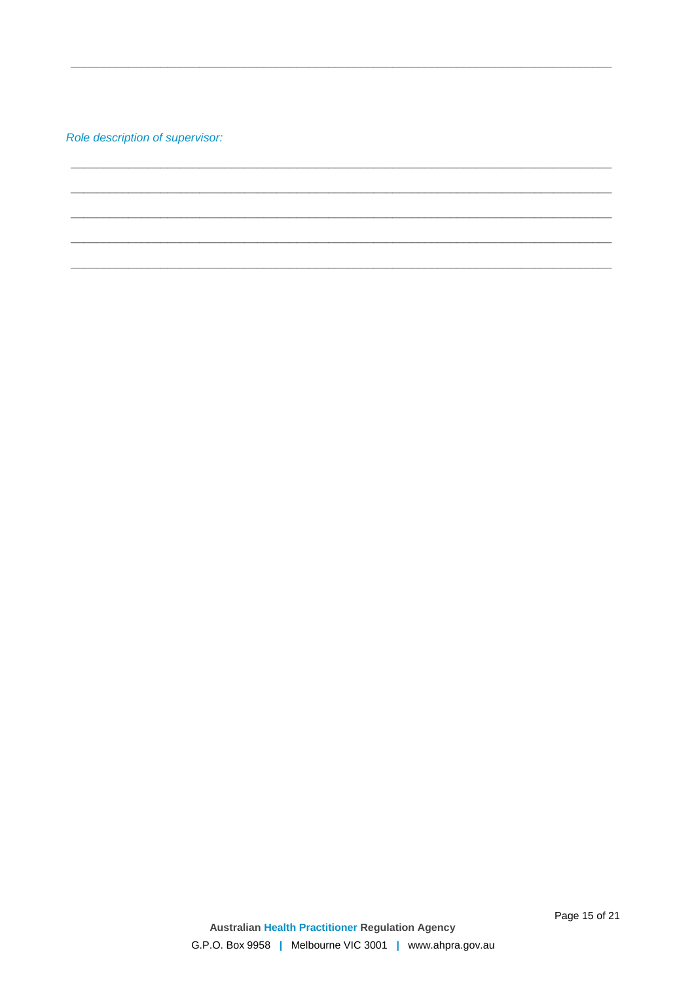Role description of supervisor: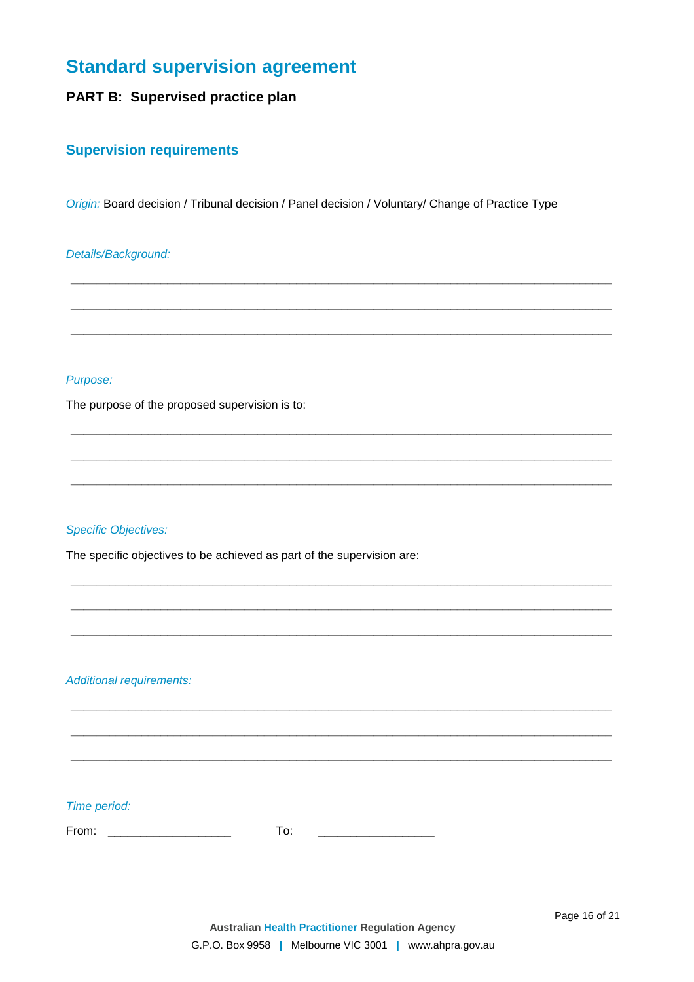# **Standard supervision agreement**

# PART B: Supervised practice plan

## **Supervision requirements**

Origin: Board decision / Tribunal decision / Panel decision / Voluntary/ Change of Practice Type

## Details/Background:

## Purpose:

The purpose of the proposed supervision is to:

## **Specific Objectives:**

The specific objectives to be achieved as part of the supervision are:

**Additional requirements:** 

## Time period: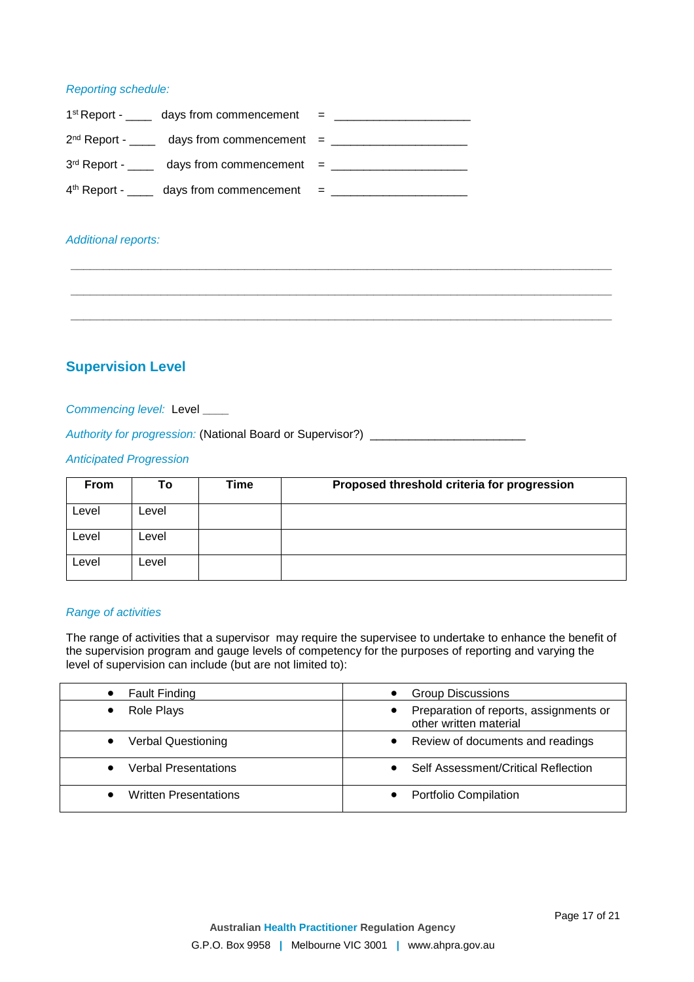## *Reporting schedule:*

| $1st$ Report - ______ days from commencement = ____________________________ |  |
|-----------------------------------------------------------------------------|--|
| $2nd$ Report - ______ days from commencement = ____________________________ |  |
| $3rd$ Report - _____ days from commencement = _____________________________ |  |
| $4th$ Report - ______ days from commencement = _____________                |  |

## *Additional reports:*

## **Supervision Level**

### *Commencing level:* Level **\_\_\_\_**

*Authority for progression:* (National Board or Supervisor?) \_\_\_\_\_\_\_\_\_\_\_\_\_\_\_\_\_\_\_\_\_\_\_\_

## *Anticipated Progression*

| <b>From</b> | Τo    | Time | Proposed threshold criteria for progression |
|-------------|-------|------|---------------------------------------------|
| Level       | Level |      |                                             |
| Level       | Level |      |                                             |
| Level       | Level |      |                                             |

**\_\_\_\_\_\_\_\_\_\_\_\_\_\_\_\_\_\_\_\_\_\_\_\_\_\_\_\_\_\_\_\_\_\_\_\_\_\_\_\_\_\_\_\_\_\_\_\_\_\_\_\_\_\_\_\_\_\_\_\_\_\_\_\_\_\_\_\_\_\_\_\_\_\_\_\_\_\_\_\_\_\_\_\_**

**\_\_\_\_\_\_\_\_\_\_\_\_\_\_\_\_\_\_\_\_\_\_\_\_\_\_\_\_\_\_\_\_\_\_\_\_\_\_\_\_\_\_\_\_\_\_\_\_\_\_\_\_\_\_\_\_\_\_\_\_\_\_\_\_\_\_\_\_\_\_\_\_\_\_\_\_\_\_\_\_\_\_\_\_**

**\_\_\_\_\_\_\_\_\_\_\_\_\_\_\_\_\_\_\_\_\_\_\_\_\_\_\_\_\_\_\_\_\_\_\_\_\_\_\_\_\_\_\_\_\_\_\_\_\_\_\_\_\_\_\_\_\_\_\_\_\_\_\_\_\_\_\_\_\_\_\_\_\_\_\_\_\_\_\_\_\_\_\_\_**

### *Range of activities*

The range of activities that a supervisor may require the supervisee to undertake to enhance the benefit of the supervision program and gauge levels of competency for the purposes of reporting and varying the level of supervision can include (but are not limited to):

| <b>Fault Finding</b>         | <b>Group Discussions</b>                                         |
|------------------------------|------------------------------------------------------------------|
| Role Plays                   | Preparation of reports, assignments or<br>other written material |
| <b>Verbal Questioning</b>    | Review of documents and readings                                 |
| <b>Verbal Presentations</b>  | Self Assessment/Critical Reflection                              |
| <b>Written Presentations</b> | Portfolio Compilation                                            |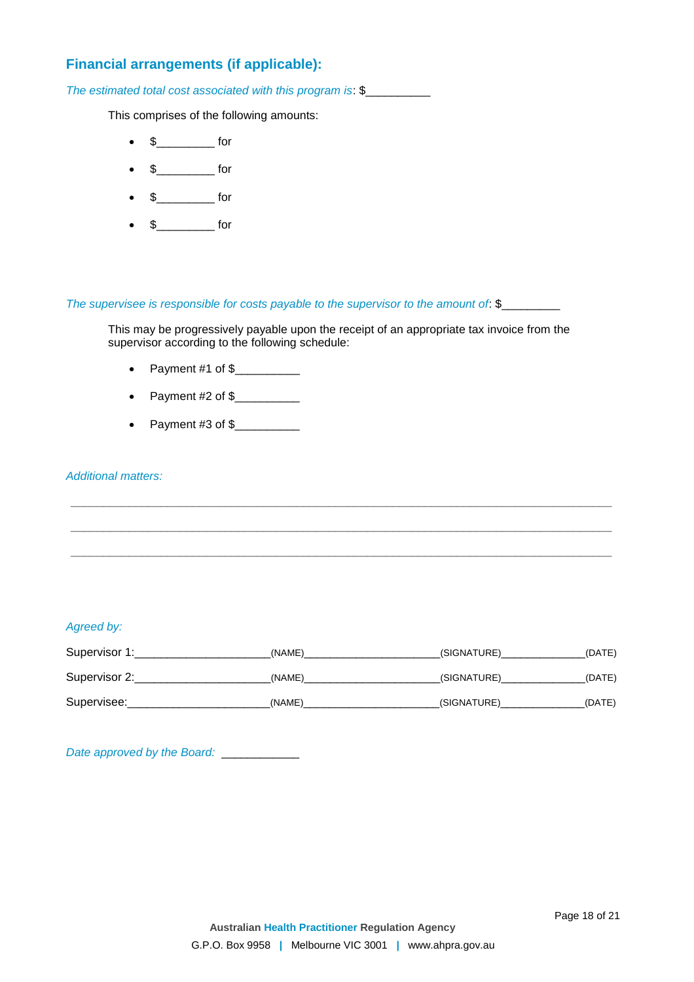# **Financial arrangements (if applicable):**

*The estimated total cost associated with this program is*: \$\_\_\_\_\_\_\_\_\_\_

This comprises of the following amounts:

- $\bullet$  \$ for
- $\bullet$  \$ for
- $\bullet$  \$\_\_\_\_\_\_\_\_\_\_\_\_\_ for
- $\bullet$  \$\_\_\_\_\_\_\_\_\_\_\_\_\_ for

*The supervisee is responsible for costs payable to the supervisor to the amount of: \$\_\_\_\_\_\_\_\_\_\_\_\_\_\_* 

This may be progressively payable upon the receipt of an appropriate tax invoice from the supervisor according to the following schedule:

- Payment  $#1$  of  $\frac{6}{2}$
- Payment #2 of  $\frac{2}{1}$
- Payment #3 of  $\frac{2}{1}$

## *Additional matters:*

## *Agreed by:*

| Supervisor 1: | (NAME) | (SIGNATURE) | (DATE) |
|---------------|--------|-------------|--------|
| Supervisor 2: | (NAME) | (SIGNATURE) | (DATE) |
| Supervisee:   | (NAME) | (SIGNATURE) | (DATE) |

**\_\_\_\_\_\_\_\_\_\_\_\_\_\_\_\_\_\_\_\_\_\_\_\_\_\_\_\_\_\_\_\_\_\_\_\_\_\_\_\_\_\_\_\_\_\_\_\_\_\_\_\_\_\_\_\_\_\_\_\_\_\_\_\_\_\_\_\_\_\_\_\_\_\_\_\_\_\_\_\_\_\_\_\_**

**\_\_\_\_\_\_\_\_\_\_\_\_\_\_\_\_\_\_\_\_\_\_\_\_\_\_\_\_\_\_\_\_\_\_\_\_\_\_\_\_\_\_\_\_\_\_\_\_\_\_\_\_\_\_\_\_\_\_\_\_\_\_\_\_\_\_\_\_\_\_\_\_\_\_\_\_\_\_\_\_\_\_\_\_**

*Date approved by the Board:*\_\_\_\_\_\_\_\_\_\_\_\_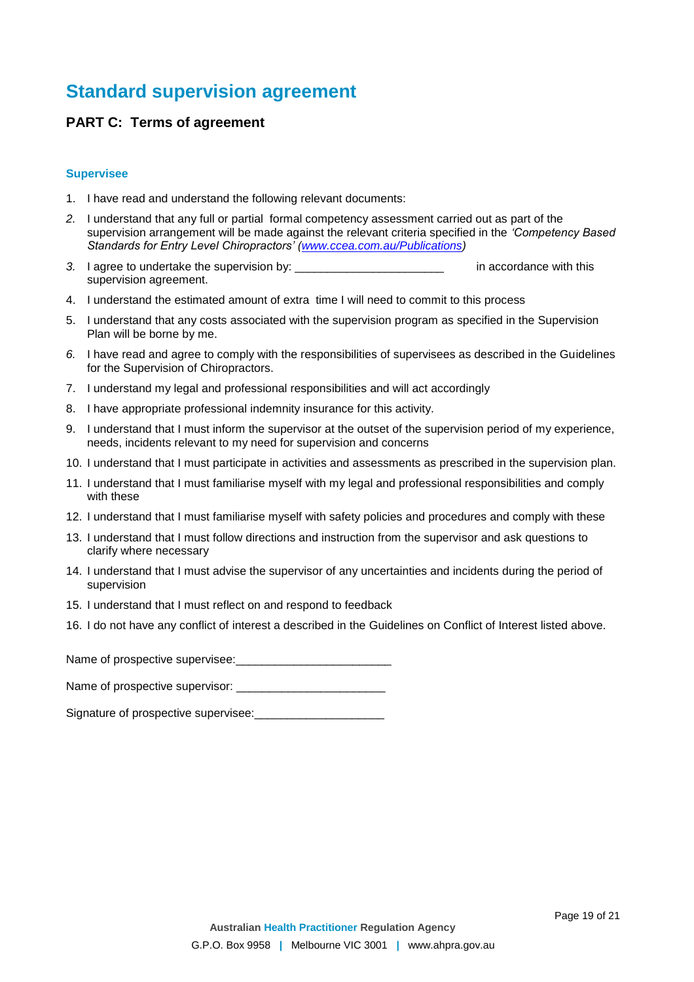# **Standard supervision agreement**

## **PART C: Terms of agreement**

#### **Supervisee**

- 1. I have read and understand the following relevant documents:
- *2.* I understand that any full or partial formal competency assessment carried out as part of the supervision arrangement will be made against the relevant criteria specified in the *'Competency Based Standards for Entry Level Chiropractors' [\(www.ccea.com.au/Publications\)](http://www.ccea.com.au/Publications/Publications.htm))*
- *3.* I agree to undertake the supervision by: \_\_\_\_\_\_\_\_\_\_\_\_\_\_\_\_\_\_\_\_\_\_\_ in accordance with this supervision agreement.
- 4. I understand the estimated amount of extra time I will need to commit to this process
- 5. I understand that any costs associated with the supervision program as specified in the Supervision Plan will be borne by me.
- *6.* I have read and agree to comply with the responsibilities of supervisees as described in the Guidelines for the Supervision of Chiropractors.
- 7. I understand my legal and professional responsibilities and will act accordingly
- 8. I have appropriate professional indemnity insurance for this activity.
- 9. I understand that I must inform the supervisor at the outset of the supervision period of my experience, needs, incidents relevant to my need for supervision and concerns
- 10. I understand that I must participate in activities and assessments as prescribed in the supervision plan.
- 11. I understand that I must familiarise myself with my legal and professional responsibilities and comply with these
- 12. I understand that I must familiarise myself with safety policies and procedures and comply with these
- 13. I understand that I must follow directions and instruction from the supervisor and ask questions to clarify where necessary
- 14. I understand that I must advise the supervisor of any uncertainties and incidents during the period of supervision
- 15. I understand that I must reflect on and respond to feedback
- 16. I do not have any conflict of interest a described in the Guidelines on Conflict of Interest listed above.

Name of prospective supervisee:\_\_\_\_\_\_\_\_\_\_\_\_\_\_\_\_\_\_\_\_\_\_\_\_

Name of prospective supervisor:

Signature of prospective supervisee: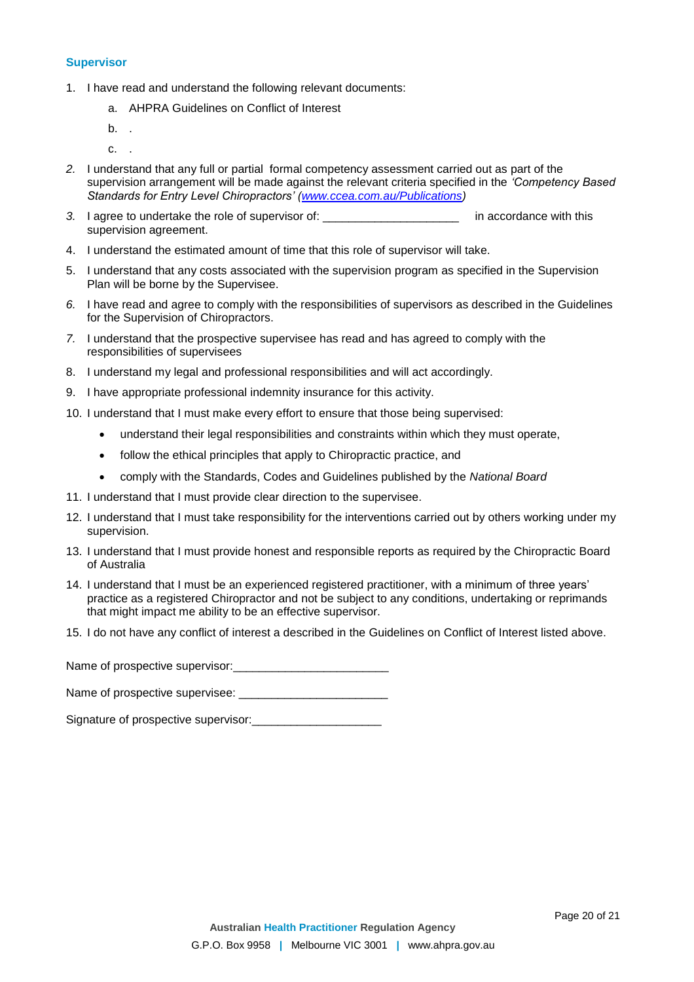#### **Supervisor**

- 1. I have read and understand the following relevant documents:
	- a. AHPRA Guidelines on Conflict of Interest
	- b. .
	- c. .
- *2.* I understand that any full or partial formal competency assessment carried out as part of the supervision arrangement will be made against the relevant criteria specified in the *'Competency Based Standards for Entry Level Chiropractors' [\(www.ccea.com.au/Publications\)](http://www.ccea.com.au/Publications/Publications.htm))*
- *3.* I agree to undertake the role of supervisor of: \_\_\_\_\_\_\_\_\_\_\_\_\_\_\_\_\_\_\_\_\_ in accordance with this supervision agreement.
- 4. I understand the estimated amount of time that this role of supervisor will take.
- 5. I understand that any costs associated with the supervision program as specified in the Supervision Plan will be borne by the Supervisee.
- *6.* I have read and agree to comply with the responsibilities of supervisors as described in the Guidelines for the Supervision of Chiropractors.
- *7.* I understand that the prospective supervisee has read and has agreed to comply with the responsibilities of supervisees
- 8. I understand my legal and professional responsibilities and will act accordingly.
- 9. I have appropriate professional indemnity insurance for this activity.
- 10. I understand that I must make every effort to ensure that those being supervised:
	- understand their legal responsibilities and constraints within which they must operate,
	- follow the ethical principles that apply to Chiropractic practice, and
	- comply with the Standards, Codes and Guidelines published by the *National Board*
- 11. I understand that I must provide clear direction to the supervisee.
- 12. I understand that I must take responsibility for the interventions carried out by others working under my supervision.
- 13. I understand that I must provide honest and responsible reports as required by the Chiropractic Board of Australia
- 14. I understand that I must be an experienced registered practitioner, with a minimum of three years' practice as a registered Chiropractor and not be subject to any conditions, undertaking or reprimands that might impact me ability to be an effective supervisor.
- 15. I do not have any conflict of interest a described in the Guidelines on Conflict of Interest listed above.

Name of prospective supervisor:\_\_\_\_\_\_\_\_\_\_\_\_\_\_\_\_\_\_\_\_\_\_\_\_

Name of prospective supervisee: \_\_\_\_\_\_\_\_\_\_\_\_\_\_\_\_\_\_\_\_\_\_\_

Signature of prospective supervisor: